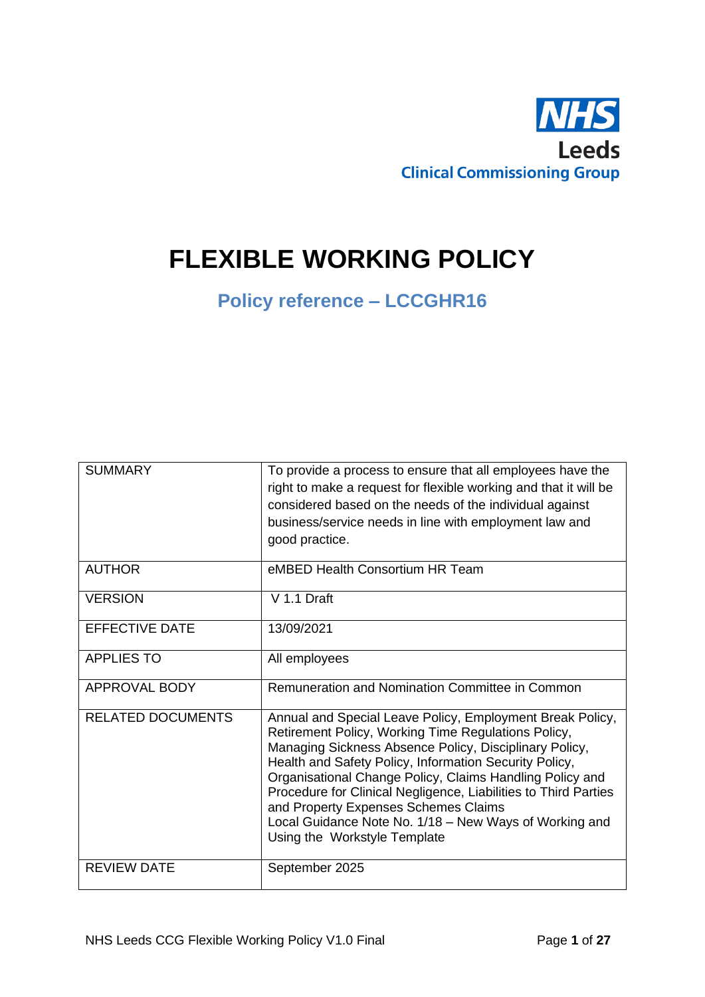

# **FLEXIBLE WORKING POLICY**

## **Policy reference – LCCGHR16**

| <b>SUMMARY</b>           | To provide a process to ensure that all employees have the<br>right to make a request for flexible working and that it will be<br>considered based on the needs of the individual against<br>business/service needs in line with employment law and<br>good practice.                                                                                                                                                                                                                                 |
|--------------------------|-------------------------------------------------------------------------------------------------------------------------------------------------------------------------------------------------------------------------------------------------------------------------------------------------------------------------------------------------------------------------------------------------------------------------------------------------------------------------------------------------------|
| <b>AUTHOR</b>            | eMBED Health Consortium HR Team                                                                                                                                                                                                                                                                                                                                                                                                                                                                       |
| <b>VERSION</b>           | V 1.1 Draft                                                                                                                                                                                                                                                                                                                                                                                                                                                                                           |
| <b>EFFECTIVE DATE</b>    | 13/09/2021                                                                                                                                                                                                                                                                                                                                                                                                                                                                                            |
| <b>APPLIES TO</b>        | All employees                                                                                                                                                                                                                                                                                                                                                                                                                                                                                         |
| APPROVAL BODY            | Remuneration and Nomination Committee in Common                                                                                                                                                                                                                                                                                                                                                                                                                                                       |
| <b>RELATED DOCUMENTS</b> | Annual and Special Leave Policy, Employment Break Policy,<br>Retirement Policy, Working Time Regulations Policy,<br>Managing Sickness Absence Policy, Disciplinary Policy,<br>Health and Safety Policy, Information Security Policy,<br>Organisational Change Policy, Claims Handling Policy and<br>Procedure for Clinical Negligence, Liabilities to Third Parties<br>and Property Expenses Schemes Claims<br>Local Guidance Note No. 1/18 - New Ways of Working and<br>Using the Workstyle Template |
| <b>REVIEW DATE</b>       | September 2025                                                                                                                                                                                                                                                                                                                                                                                                                                                                                        |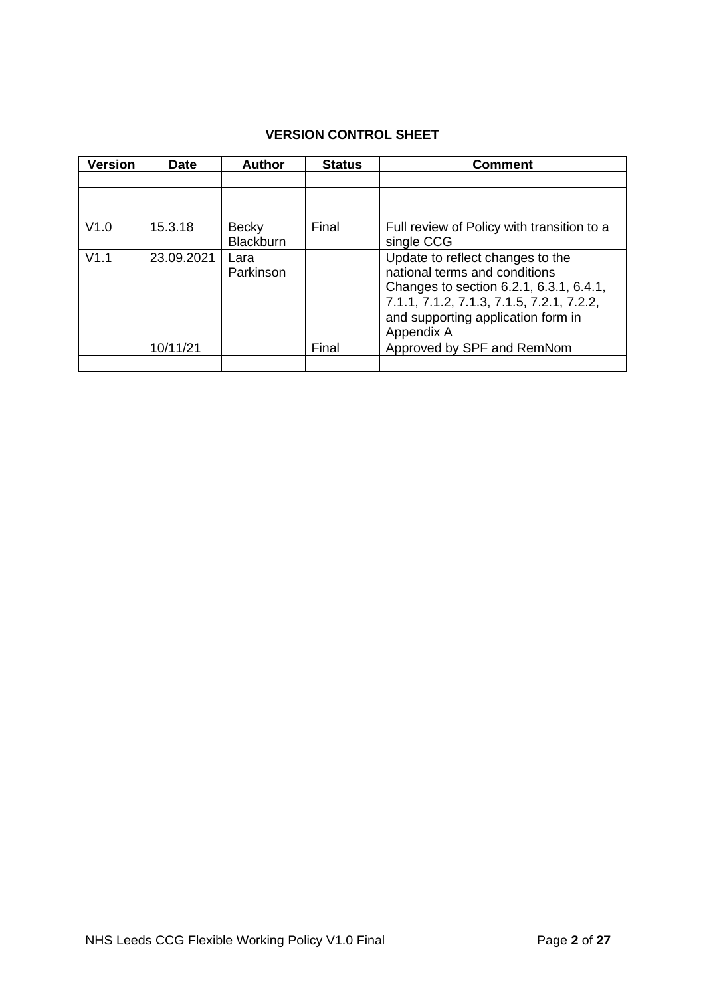## **VERSION CONTROL SHEET**

| <b>Version</b> | <b>Date</b> | <b>Author</b>                    | <b>Status</b> | <b>Comment</b>                                                                                                                                                                                                |
|----------------|-------------|----------------------------------|---------------|---------------------------------------------------------------------------------------------------------------------------------------------------------------------------------------------------------------|
|                |             |                                  |               |                                                                                                                                                                                                               |
|                |             |                                  |               |                                                                                                                                                                                                               |
|                |             |                                  |               |                                                                                                                                                                                                               |
| V1.0           | 15.3.18     | <b>Becky</b><br><b>Blackburn</b> | Final         | Full review of Policy with transition to a<br>single CCG                                                                                                                                                      |
| V1.1           | 23.09.2021  | Lara<br>Parkinson                |               | Update to reflect changes to the<br>national terms and conditions<br>Changes to section 6.2.1, 6.3.1, 6.4.1,<br>7.1.1, 7.1.2, 7.1.3, 7.1.5, 7.2.1, 7.2.2,<br>and supporting application form in<br>Appendix A |
|                | 10/11/21    |                                  | Final         | Approved by SPF and RemNom                                                                                                                                                                                    |
|                |             |                                  |               |                                                                                                                                                                                                               |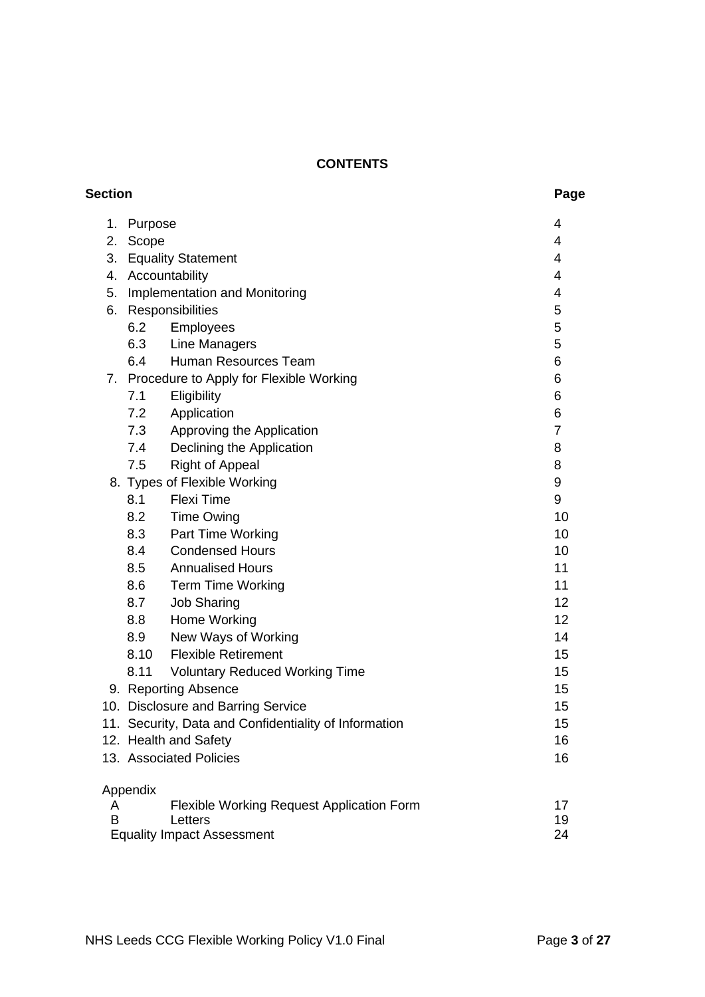## **CONTENTS**

| Section |          |                                                             | Page           |
|---------|----------|-------------------------------------------------------------|----------------|
| 1.      | Purpose  |                                                             | 4              |
| 2.      | Scope    |                                                             | 4              |
| 3.      |          | <b>Equality Statement</b>                                   | 4              |
| 4.      |          | Accountability                                              | 4              |
| 5.      |          | Implementation and Monitoring                               | 4              |
| 6.      |          | Responsibilities                                            | 5              |
|         | 6.2      | Employees                                                   | 5              |
|         | 6.3      | <b>Line Managers</b>                                        | 5              |
|         | 6.4      | Human Resources Team                                        | 6              |
| 7.      |          | Procedure to Apply for Flexible Working                     | 6              |
|         | 7.1      | Eligibility                                                 | 6              |
|         | 7.2      | Application                                                 | 6              |
|         | 7.3      | Approving the Application                                   | $\overline{7}$ |
|         | 7.4      | Declining the Application                                   | 8              |
|         | 7.5      | <b>Right of Appeal</b>                                      | 8              |
|         |          | 8. Types of Flexible Working                                | 9              |
|         | 8.1      | <b>Flexi Time</b>                                           | 9              |
|         | 8.2      | <b>Time Owing</b>                                           | 10             |
|         | 8.3      | Part Time Working                                           | 10             |
|         | 8.4      | <b>Condensed Hours</b>                                      | 10             |
|         | 8.5      | <b>Annualised Hours</b>                                     | 11             |
|         | 8.6      | <b>Term Time Working</b>                                    | 11             |
|         | 8.7      | <b>Job Sharing</b>                                          | 12             |
|         | 8.8      | Home Working                                                | 12             |
|         | 8.9      | New Ways of Working                                         | 14             |
|         | 8.10     | <b>Flexible Retirement</b>                                  | 15             |
|         | 8.11     | <b>Voluntary Reduced Working Time</b>                       | 15             |
|         |          | 9. Reporting Absence                                        | 15             |
|         |          | 10. Disclosure and Barring Service                          | 15             |
|         |          | 11. Security, Data and Confidentiality of Information       | 15             |
|         |          | 12. Health and Safety                                       | 16             |
|         |          | 13. Associated Policies                                     | 16             |
|         | Appendix |                                                             |                |
| A<br>B  |          | <b>Flexible Working Request Application Form</b><br>Letters | 17<br>19       |
|         |          | <b>Equality Impact Assessment</b>                           | 24             |
|         |          |                                                             |                |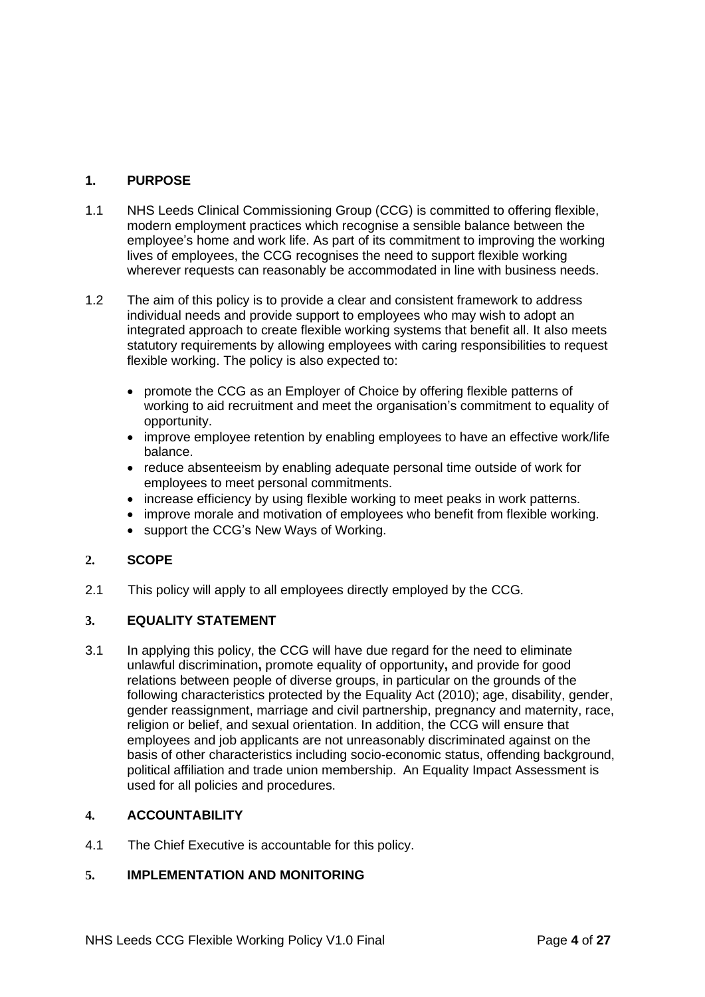## **1. PURPOSE**

- 1.1 NHS Leeds Clinical Commissioning Group (CCG) is committed to offering flexible, modern employment practices which recognise a sensible balance between the employee's home and work life. As part of its commitment to improving the working lives of employees, the CCG recognises the need to support flexible working wherever requests can reasonably be accommodated in line with business needs.
- 1.2 The aim of this policy is to provide a clear and consistent framework to address individual needs and provide support to employees who may wish to adopt an integrated approach to create flexible working systems that benefit all. It also meets statutory requirements by allowing employees with caring responsibilities to request flexible working. The policy is also expected to:
	- promote the CCG as an Employer of Choice by offering flexible patterns of working to aid recruitment and meet the organisation's commitment to equality of opportunity.
	- improve employee retention by enabling employees to have an effective work/life balance.
	- reduce absenteeism by enabling adequate personal time outside of work for employees to meet personal commitments.
	- increase efficiency by using flexible working to meet peaks in work patterns.
	- improve morale and motivation of employees who benefit from flexible working.
	- support the CCG's New Ways of Working.

## **2. SCOPE**

2.1 This policy will apply to all employees directly employed by the CCG.

## **3. EQUALITY STATEMENT**

3.1 In applying this policy, the CCG will have due regard for the need to eliminate unlawful discrimination**,** promote equality of opportunity**,** and provide for good relations between people of diverse groups, in particular on the grounds of the following characteristics protected by the Equality Act (2010); age, disability, gender, gender reassignment, marriage and civil partnership, pregnancy and maternity, race, religion or belief, and sexual orientation. In addition, the CCG will ensure that employees and job applicants are not unreasonably discriminated against on the basis of other characteristics including socio-economic status, offending background, political affiliation and trade union membership. An Equality Impact Assessment is used for all policies and procedures.

## **4. ACCOUNTABILITY**

4.1 The Chief Executive is accountable for this policy.

## **5. IMPLEMENTATION AND MONITORING**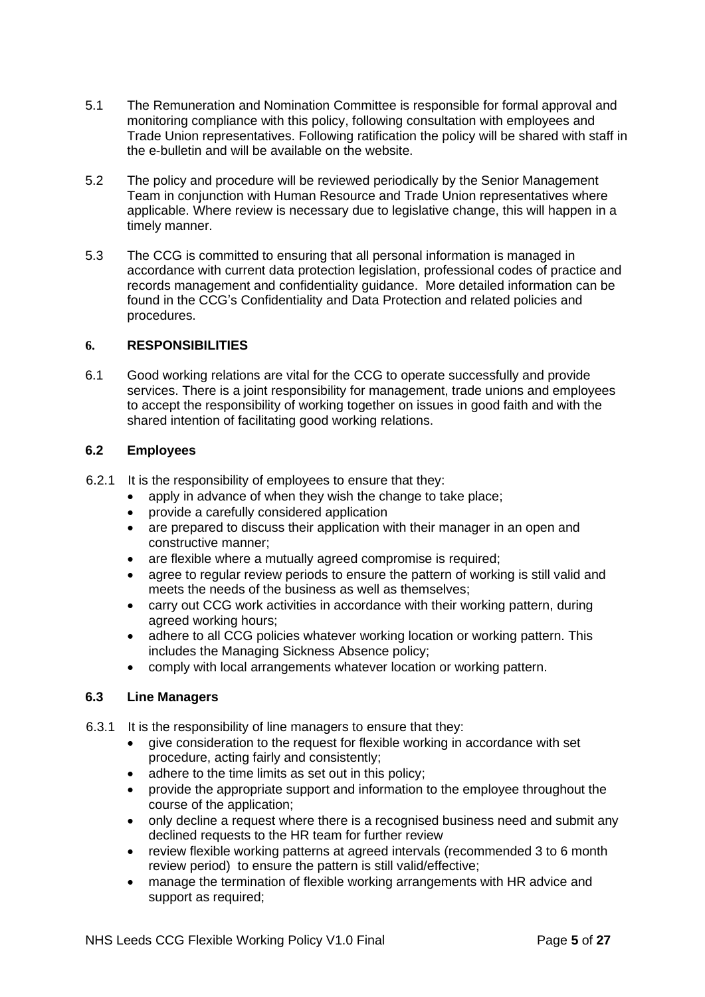- 5.1 The Remuneration and Nomination Committee is responsible for formal approval and monitoring compliance with this policy, following consultation with employees and Trade Union representatives. Following ratification the policy will be shared with staff in the e-bulletin and will be available on the website.
- 5.2 The policy and procedure will be reviewed periodically by the Senior Management Team in conjunction with Human Resource and Trade Union representatives where applicable. Where review is necessary due to legislative change, this will happen in a timely manner.
- 5.3 The CCG is committed to ensuring that all personal information is managed in accordance with current data protection legislation, professional codes of practice and records management and confidentiality guidance. More detailed information can be found in the CCG's Confidentiality and Data Protection and related policies and procedures.

## **6. RESPONSIBILITIES**

6.1 Good working relations are vital for the CCG to operate successfully and provide services. There is a joint responsibility for management, trade unions and employees to accept the responsibility of working together on issues in good faith and with the shared intention of facilitating good working relations.

## **6.2 Employees**

- 6.2.1 It is the responsibility of employees to ensure that they:
	- apply in advance of when they wish the change to take place;
	- provide a carefully considered application
	- are prepared to discuss their application with their manager in an open and constructive manner;
	- are flexible where a mutually agreed compromise is required;
	- agree to regular review periods to ensure the pattern of working is still valid and meets the needs of the business as well as themselves;
	- carry out CCG work activities in accordance with their working pattern, during agreed working hours;
	- adhere to all CCG policies whatever working location or working pattern. This includes the Managing Sickness Absence policy;
	- comply with local arrangements whatever location or working pattern.

## **6.3 Line Managers**

- 6.3.1 It is the responsibility of line managers to ensure that they:
	- give consideration to the request for flexible working in accordance with set procedure, acting fairly and consistently;
	- adhere to the time limits as set out in this policy;
	- provide the appropriate support and information to the employee throughout the course of the application;
	- only decline a request where there is a recognised business need and submit any declined requests to the HR team for further review
	- review flexible working patterns at agreed intervals (recommended 3 to 6 month review period) to ensure the pattern is still valid/effective;
	- manage the termination of flexible working arrangements with HR advice and support as required;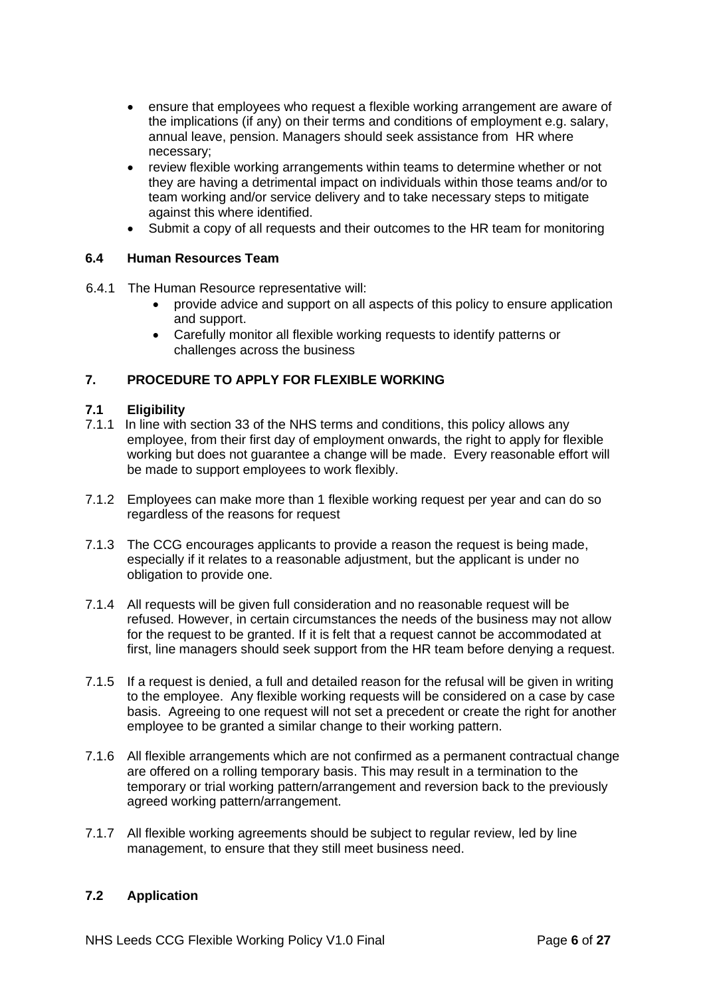- ensure that employees who request a flexible working arrangement are aware of the implications (if any) on their terms and conditions of employment e.g. salary, annual leave, pension. Managers should seek assistance from HR where necessary;
- review flexible working arrangements within teams to determine whether or not they are having a detrimental impact on individuals within those teams and/or to team working and/or service delivery and to take necessary steps to mitigate against this where identified.
- Submit a copy of all requests and their outcomes to the HR team for monitoring

## **6.4 Human Resources Team**

- 6.4.1 The Human Resource representative will:
	- provide advice and support on all aspects of this policy to ensure application and support.
	- Carefully monitor all flexible working requests to identify patterns or challenges across the business

## **7. PROCEDURE TO APPLY FOR FLEXIBLE WORKING**

#### **7.1 Eligibility**

- 7.1.1 In line with section 33 of the NHS terms and conditions, this policy allows any employee, from their first day of employment onwards, the right to apply for flexible working but does not guarantee a change will be made. Every reasonable effort will be made to support employees to work flexibly.
- 7.1.2 Employees can make more than 1 flexible working request per year and can do so regardless of the reasons for request
- 7.1.3 The CCG encourages applicants to provide a reason the request is being made, especially if it relates to a reasonable adjustment, but the applicant is under no obligation to provide one.
- 7.1.4 All requests will be given full consideration and no reasonable request will be refused. However, in certain circumstances the needs of the business may not allow for the request to be granted. If it is felt that a request cannot be accommodated at first, line managers should seek support from the HR team before denying a request.
- 7.1.5 If a request is denied, a full and detailed reason for the refusal will be given in writing to the employee. Any flexible working requests will be considered on a case by case basis. Agreeing to one request will not set a precedent or create the right for another employee to be granted a similar change to their working pattern.
- 7.1.6 All flexible arrangements which are not confirmed as a permanent contractual change are offered on a rolling temporary basis. This may result in a termination to the temporary or trial working pattern/arrangement and reversion back to the previously agreed working pattern/arrangement.
- 7.1.7 All flexible working agreements should be subject to regular review, led by line management, to ensure that they still meet business need.

## **7.2 Application**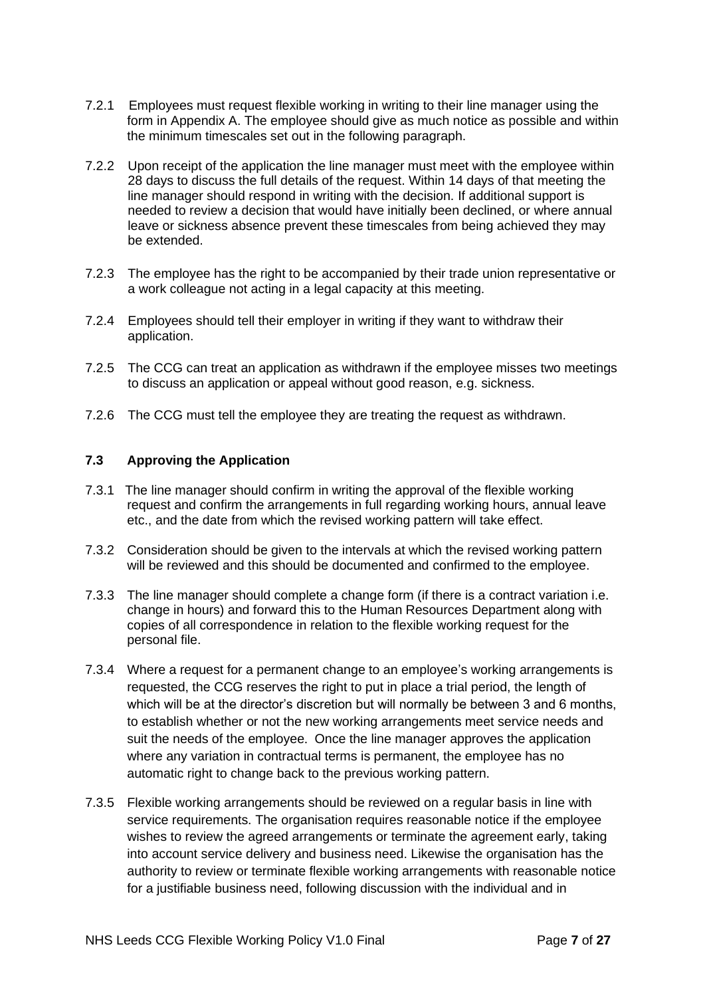- 7.2.1 Employees must request flexible working in writing to their line manager using the form in Appendix A. The employee should give as much notice as possible and within the minimum timescales set out in the following paragraph.
- 7.2.2 Upon receipt of the application the line manager must meet with the employee within 28 days to discuss the full details of the request. Within 14 days of that meeting the line manager should respond in writing with the decision. If additional support is needed to review a decision that would have initially been declined, or where annual leave or sickness absence prevent these timescales from being achieved they may be extended.
- 7.2.3 The employee has the right to be accompanied by their trade union representative or a work colleague not acting in a legal capacity at this meeting.
- 7.2.4 Employees should tell their employer in writing if they want to withdraw their application.
- 7.2.5 The CCG can treat an application as withdrawn if the employee misses two meetings to discuss an application or appeal without good reason, e.g. sickness.
- 7.2.6 The CCG must tell the employee they are treating the request as withdrawn.

## **7.3 Approving the Application**

- 7.3.1 The line manager should confirm in writing the approval of the flexible working request and confirm the arrangements in full regarding working hours, annual leave etc., and the date from which the revised working pattern will take effect.
- 7.3.2 Consideration should be given to the intervals at which the revised working pattern will be reviewed and this should be documented and confirmed to the employee.
- 7.3.3 The line manager should complete a change form (if there is a contract variation i.e. change in hours) and forward this to the Human Resources Department along with copies of all correspondence in relation to the flexible working request for the personal file.
- 7.3.4 Where a request for a permanent change to an employee's working arrangements is requested, the CCG reserves the right to put in place a trial period, the length of which will be at the director's discretion but will normally be between 3 and 6 months, to establish whether or not the new working arrangements meet service needs and suit the needs of the employee. Once the line manager approves the application where any variation in contractual terms is permanent, the employee has no automatic right to change back to the previous working pattern.
- 7.3.5 Flexible working arrangements should be reviewed on a regular basis in line with service requirements. The organisation requires reasonable notice if the employee wishes to review the agreed arrangements or terminate the agreement early, taking into account service delivery and business need. Likewise the organisation has the authority to review or terminate flexible working arrangements with reasonable notice for a justifiable business need, following discussion with the individual and in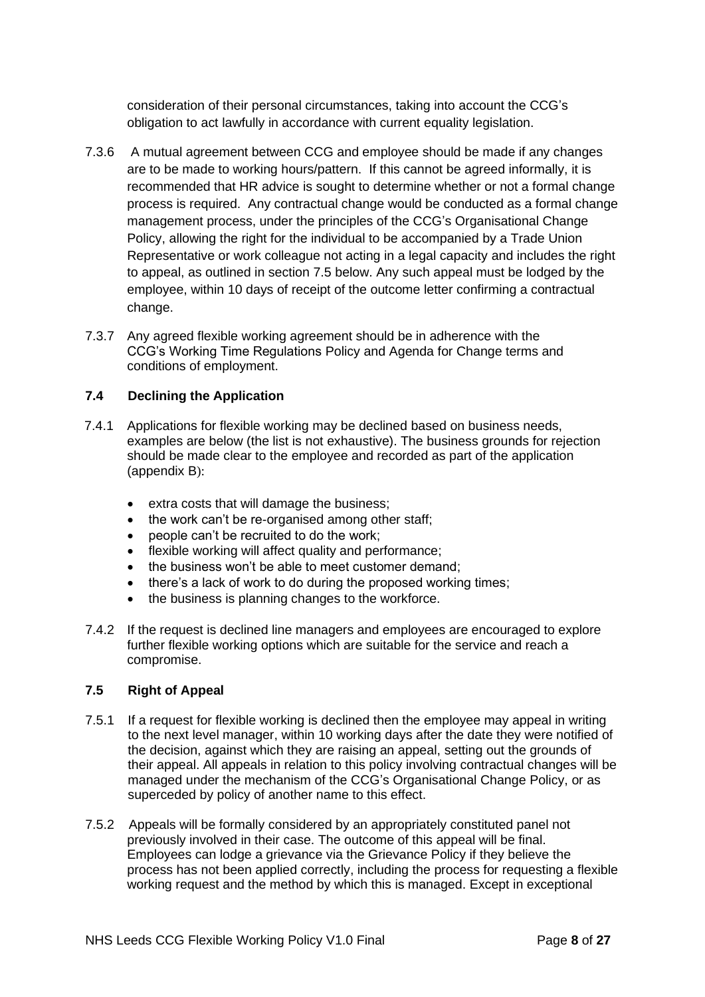consideration of their personal circumstances, taking into account the CCG's obligation to act lawfully in accordance with current equality legislation.

- 7.3.6 A mutual agreement between CCG and employee should be made if any changes are to be made to working hours/pattern. If this cannot be agreed informally, it is recommended that HR advice is sought to determine whether or not a formal change process is required. Any contractual change would be conducted as a formal change management process, under the principles of the CCG's Organisational Change Policy, allowing the right for the individual to be accompanied by a Trade Union Representative or work colleague not acting in a legal capacity and includes the right to appeal, as outlined in section 7.5 below. Any such appeal must be lodged by the employee, within 10 days of receipt of the outcome letter confirming a contractual change.
- 7.3.7 Any agreed flexible working agreement should be in adherence with the CCG's Working Time Regulations Policy and Agenda for Change terms and conditions of employment.

## **7.4 Declining the Application**

- 7.4.1 Applications for flexible working may be declined based on business needs, examples are below (the list is not exhaustive). The business grounds for rejection should be made clear to the employee and recorded as part of the application (appendix B):
	- extra costs that will damage the business;
	- the work can't be re-organised among other staff;
	- people can't be recruited to do the work;
	- flexible working will affect quality and performance;
	- the business won't be able to meet customer demand;
	- there's a lack of work to do during the proposed working times;
	- the business is planning changes to the workforce.
- 7.4.2 If the request is declined line managers and employees are encouraged to explore further flexible working options which are suitable for the service and reach a compromise.

#### **7.5 Right of Appeal**

- 7.5.1 If a request for flexible working is declined then the employee may appeal in writing to the next level manager, within 10 working days after the date they were notified of the decision, against which they are raising an appeal, setting out the grounds of their appeal. All appeals in relation to this policy involving contractual changes will be managed under the mechanism of the CCG's Organisational Change Policy, or as superceded by policy of another name to this effect.
- 7.5.2 Appeals will be formally considered by an appropriately constituted panel not previously involved in their case. The outcome of this appeal will be final. Employees can lodge a grievance via the Grievance Policy if they believe the process has not been applied correctly, including the process for requesting a flexible working request and the method by which this is managed. Except in exceptional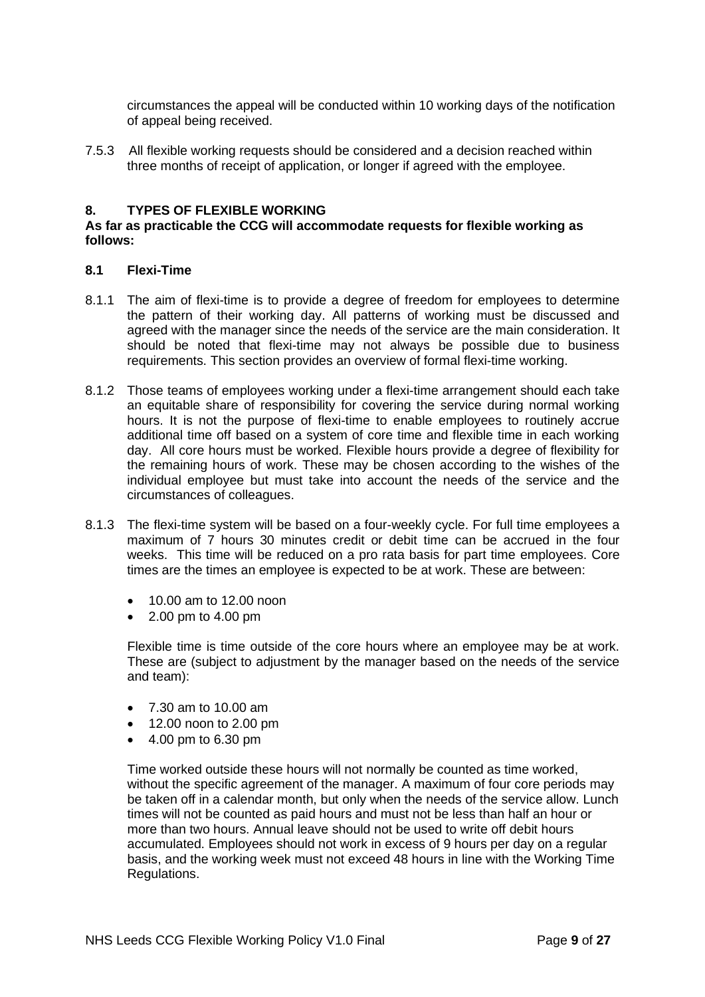circumstances the appeal will be conducted within 10 working days of the notification of appeal being received.

7.5.3 All flexible working requests should be considered and a decision reached within three months of receipt of application, or longer if agreed with the employee.

#### **8. TYPES OF FLEXIBLE WORKING**

#### **As far as practicable the CCG will accommodate requests for flexible working as follows:**

#### **8.1 Flexi-Time**

- 8.1.1 The aim of flexi-time is to provide a degree of freedom for employees to determine the pattern of their working day. All patterns of working must be discussed and agreed with the manager since the needs of the service are the main consideration. It should be noted that flexi-time may not always be possible due to business requirements. This section provides an overview of formal flexi-time working.
- 8.1.2 Those teams of employees working under a flexi-time arrangement should each take an equitable share of responsibility for covering the service during normal working hours. It is not the purpose of flexi-time to enable employees to routinely accrue additional time off based on a system of core time and flexible time in each working day. All core hours must be worked. Flexible hours provide a degree of flexibility for the remaining hours of work. These may be chosen according to the wishes of the individual employee but must take into account the needs of the service and the circumstances of colleagues.
- 8.1.3 The flexi-time system will be based on a four-weekly cycle. For full time employees a maximum of 7 hours 30 minutes credit or debit time can be accrued in the four weeks. This time will be reduced on a pro rata basis for part time employees. Core times are the times an employee is expected to be at work. These are between:
	- 10.00 am to 12.00 noon
	- 2.00 pm to 4.00 pm

Flexible time is time outside of the core hours where an employee may be at work. These are (subject to adjustment by the manager based on the needs of the service and team):

- 7.30 am to 10.00 am
- 12.00 noon to 2.00 pm
- 4.00 pm to 6.30 pm

Time worked outside these hours will not normally be counted as time worked, without the specific agreement of the manager. A maximum of four core periods may be taken off in a calendar month, but only when the needs of the service allow. Lunch times will not be counted as paid hours and must not be less than half an hour or more than two hours. Annual leave should not be used to write off debit hours accumulated. Employees should not work in excess of 9 hours per day on a regular basis, and the working week must not exceed 48 hours in line with the Working Time Regulations.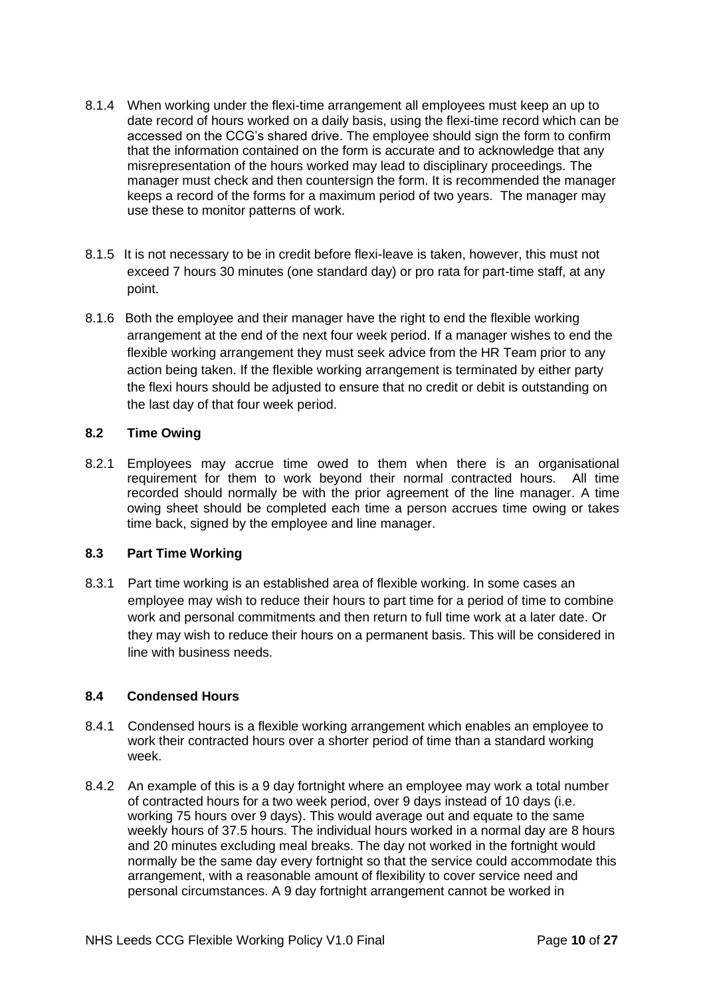- 8.1.4 When working under the flexi-time arrangement all employees must keep an up to date record of hours worked on a daily basis, using the flexi-time record which can be accessed on the CCG's shared drive. The employee should sign the form to confirm that the information contained on the form is accurate and to acknowledge that any misrepresentation of the hours worked may lead to disciplinary proceedings. The manager must check and then countersign the form. It is recommended the manager keeps a record of the forms for a maximum period of two years. The manager may use these to monitor patterns of work.
- 8.1.5 It is not necessary to be in credit before flexi-leave is taken, however, this must not exceed 7 hours 30 minutes (one standard day) or pro rata for part-time staff, at any point.
- 8.1.6 Both the employee and their manager have the right to end the flexible working arrangement at the end of the next four week period. If a manager wishes to end the flexible working arrangement they must seek advice from the HR Team prior to any action being taken. If the flexible working arrangement is terminated by either party the flexi hours should be adjusted to ensure that no credit or debit is outstanding on the last day of that four week period.

## **8.2 Time Owing**

8.2.1 Employees may accrue time owed to them when there is an organisational requirement for them to work beyond their normal contracted hours. All time recorded should normally be with the prior agreement of the line manager. A time owing sheet should be completed each time a person accrues time owing or takes time back, signed by the employee and line manager.

## **8.3 Part Time Working**

8.3.1 Part time working is an established area of flexible working. In some cases an employee may wish to reduce their hours to part time for a period of time to combine work and personal commitments and then return to full time work at a later date. Or they may wish to reduce their hours on a permanent basis. This will be considered in line with business needs.

## **8.4 Condensed Hours**

- 8.4.1 Condensed hours is a flexible working arrangement which enables an employee to work their contracted hours over a shorter period of time than a standard working week.
- 8.4.2 An example of this is a 9 day fortnight where an employee may work a total number of contracted hours for a two week period, over 9 days instead of 10 days (i.e. working 75 hours over 9 days). This would average out and equate to the same weekly hours of 37.5 hours. The individual hours worked in a normal day are 8 hours and 20 minutes excluding meal breaks. The day not worked in the fortnight would normally be the same day every fortnight so that the service could accommodate this arrangement, with a reasonable amount of flexibility to cover service need and personal circumstances. A 9 day fortnight arrangement cannot be worked in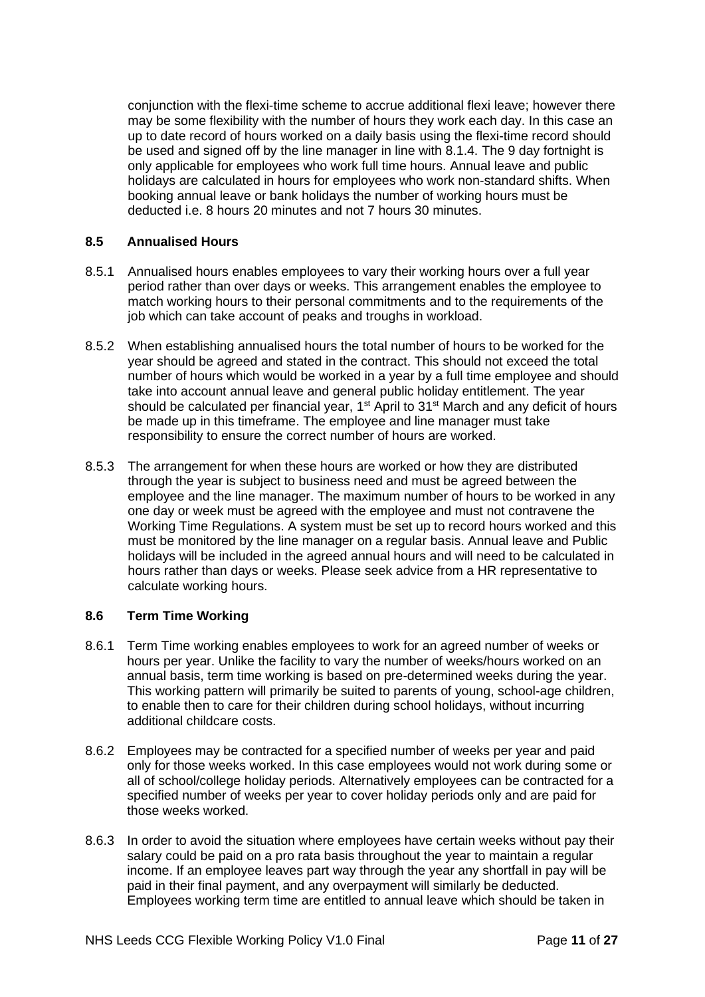conjunction with the flexi-time scheme to accrue additional flexi leave; however there may be some flexibility with the number of hours they work each day. In this case an up to date record of hours worked on a daily basis using the flexi-time record should be used and signed off by the line manager in line with 8.1.4. The 9 day fortnight is only applicable for employees who work full time hours. Annual leave and public holidays are calculated in hours for employees who work non-standard shifts. When booking annual leave or bank holidays the number of working hours must be deducted i.e. 8 hours 20 minutes and not 7 hours 30 minutes.

## **8.5 Annualised Hours**

- 8.5.1 Annualised hours enables employees to vary their working hours over a full year period rather than over days or weeks. This arrangement enables the employee to match working hours to their personal commitments and to the requirements of the job which can take account of peaks and troughs in workload.
- 8.5.2 When establishing annualised hours the total number of hours to be worked for the year should be agreed and stated in the contract. This should not exceed the total number of hours which would be worked in a year by a full time employee and should take into account annual leave and general public holiday entitlement. The year should be calculated per financial year, 1<sup>st</sup> April to 31<sup>st</sup> March and any deficit of hours be made up in this timeframe. The employee and line manager must take responsibility to ensure the correct number of hours are worked.
- 8.5.3 The arrangement for when these hours are worked or how they are distributed through the year is subject to business need and must be agreed between the employee and the line manager. The maximum number of hours to be worked in any one day or week must be agreed with the employee and must not contravene the Working Time Regulations. A system must be set up to record hours worked and this must be monitored by the line manager on a regular basis. Annual leave and Public holidays will be included in the agreed annual hours and will need to be calculated in hours rather than days or weeks. Please seek advice from a HR representative to calculate working hours.

## **8.6 Term Time Working**

- 8.6.1 Term Time working enables employees to work for an agreed number of weeks or hours per year. Unlike the facility to vary the number of weeks/hours worked on an annual basis, term time working is based on pre-determined weeks during the year. This working pattern will primarily be suited to parents of young, school-age children, to enable then to care for their children during school holidays, without incurring additional childcare costs.
- 8.6.2 Employees may be contracted for a specified number of weeks per year and paid only for those weeks worked. In this case employees would not work during some or all of school/college holiday periods. Alternatively employees can be contracted for a specified number of weeks per year to cover holiday periods only and are paid for those weeks worked.
- 8.6.3 In order to avoid the situation where employees have certain weeks without pay their salary could be paid on a pro rata basis throughout the year to maintain a regular income. If an employee leaves part way through the year any shortfall in pay will be paid in their final payment, and any overpayment will similarly be deducted. Employees working term time are entitled to annual leave which should be taken in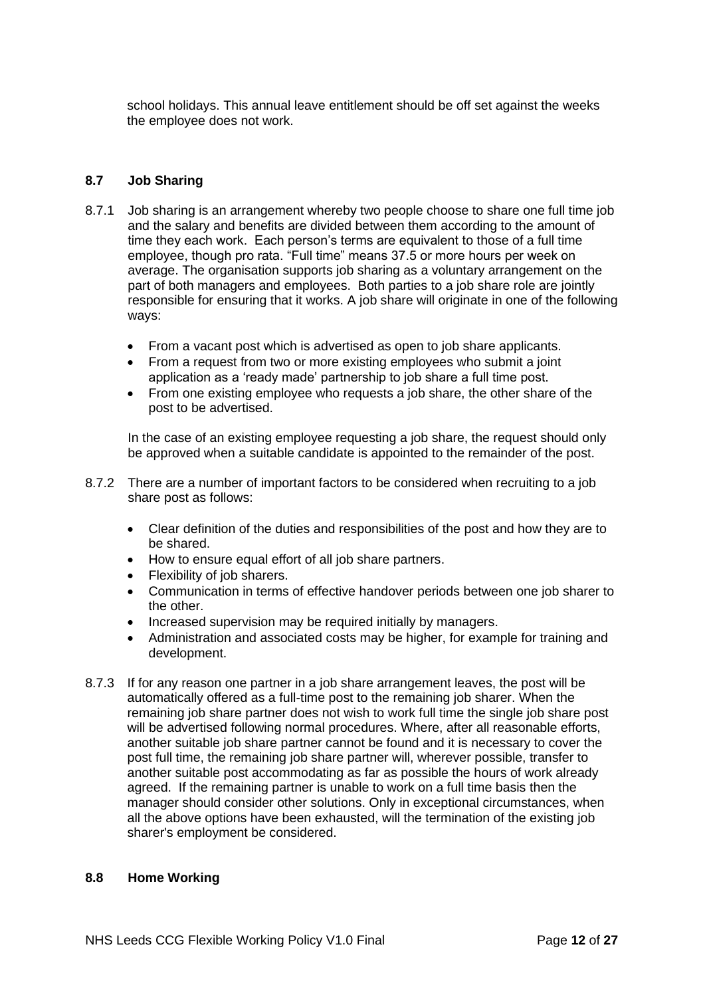school holidays. This annual leave entitlement should be off set against the weeks the employee does not work.

#### **8.7 Job Sharing**

- 8.7.1 Job sharing is an arrangement whereby two people choose to share one full time job and the salary and benefits are divided between them according to the amount of time they each work. Each person's terms are equivalent to those of a full time employee, though pro rata. "Full time" means 37.5 or more hours per week on average. The organisation supports job sharing as a voluntary arrangement on the part of both managers and employees. Both parties to a job share role are jointly responsible for ensuring that it works. A job share will originate in one of the following ways:
	- From a vacant post which is advertised as open to job share applicants.
	- From a request from two or more existing employees who submit a joint application as a 'ready made' partnership to job share a full time post.
	- From one existing employee who requests a job share, the other share of the post to be advertised.

In the case of an existing employee requesting a job share, the request should only be approved when a suitable candidate is appointed to the remainder of the post.

- 8.7.2 There are a number of important factors to be considered when recruiting to a job share post as follows:
	- Clear definition of the duties and responsibilities of the post and how they are to be shared.
	- How to ensure equal effort of all job share partners.
	- Flexibility of job sharers.
	- Communication in terms of effective handover periods between one job sharer to the other.
	- Increased supervision may be required initially by managers.
	- Administration and associated costs may be higher, for example for training and development.
- 8.7.3 If for any reason one partner in a job share arrangement leaves, the post will be automatically offered as a full-time post to the remaining job sharer. When the remaining job share partner does not wish to work full time the single job share post will be advertised following normal procedures. Where, after all reasonable efforts, another suitable job share partner cannot be found and it is necessary to cover the post full time, the remaining job share partner will, wherever possible, transfer to another suitable post accommodating as far as possible the hours of work already agreed. If the remaining partner is unable to work on a full time basis then the manager should consider other solutions. Only in exceptional circumstances, when all the above options have been exhausted, will the termination of the existing job sharer's employment be considered.

#### **8.8 Home Working**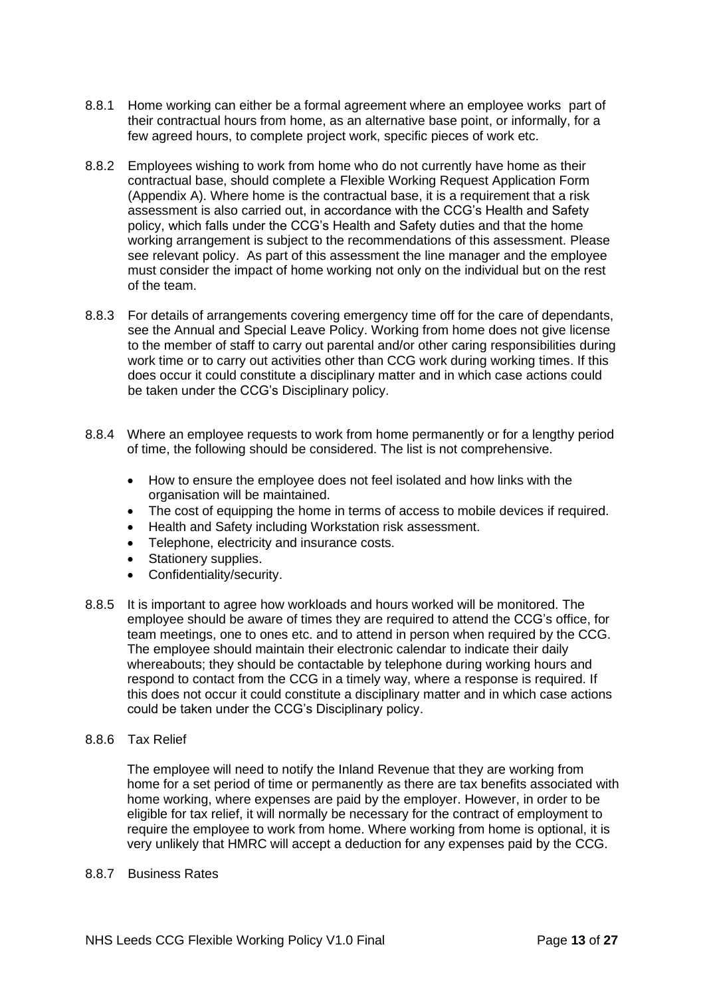- 8.8.1 Home working can either be a formal agreement where an employee works part of their contractual hours from home, as an alternative base point, or informally, for a few agreed hours, to complete project work, specific pieces of work etc.
- 8.8.2 Employees wishing to work from home who do not currently have home as their contractual base, should complete a Flexible Working Request Application Form (Appendix A). Where home is the contractual base, it is a requirement that a risk assessment is also carried out, in accordance with the CCG's Health and Safety policy, which falls under the CCG's Health and Safety duties and that the home working arrangement is subject to the recommendations of this assessment. Please see relevant policy. As part of this assessment the line manager and the employee must consider the impact of home working not only on the individual but on the rest of the team.
- 8.8.3 For details of arrangements covering emergency time off for the care of dependants, see the Annual and Special Leave Policy. Working from home does not give license to the member of staff to carry out parental and/or other caring responsibilities during work time or to carry out activities other than CCG work during working times. If this does occur it could constitute a disciplinary matter and in which case actions could be taken under the CCG's Disciplinary policy.
- 8.8.4 Where an employee requests to work from home permanently or for a lengthy period of time, the following should be considered. The list is not comprehensive.
	- How to ensure the employee does not feel isolated and how links with the organisation will be maintained.
	- The cost of equipping the home in terms of access to mobile devices if required.
	- Health and Safety including Workstation risk assessment.
	- Telephone, electricity and insurance costs.
	- Stationery supplies.
	- Confidentiality/security.
- 8.8.5 It is important to agree how workloads and hours worked will be monitored. The employee should be aware of times they are required to attend the CCG's office, for team meetings, one to ones etc. and to attend in person when required by the CCG. The employee should maintain their electronic calendar to indicate their daily whereabouts; they should be contactable by telephone during working hours and respond to contact from the CCG in a timely way, where a response is required. If this does not occur it could constitute a disciplinary matter and in which case actions could be taken under the CCG's Disciplinary policy.

#### 8.8.6 Tax Relief

The employee will need to notify the Inland Revenue that they are working from home for a set period of time or permanently as there are tax benefits associated with home working, where expenses are paid by the employer. However, in order to be eligible for tax relief, it will normally be necessary for the contract of employment to require the employee to work from home. Where working from home is optional, it is very unlikely that HMRC will accept a deduction for any expenses paid by the CCG.

8.8.7 Business Rates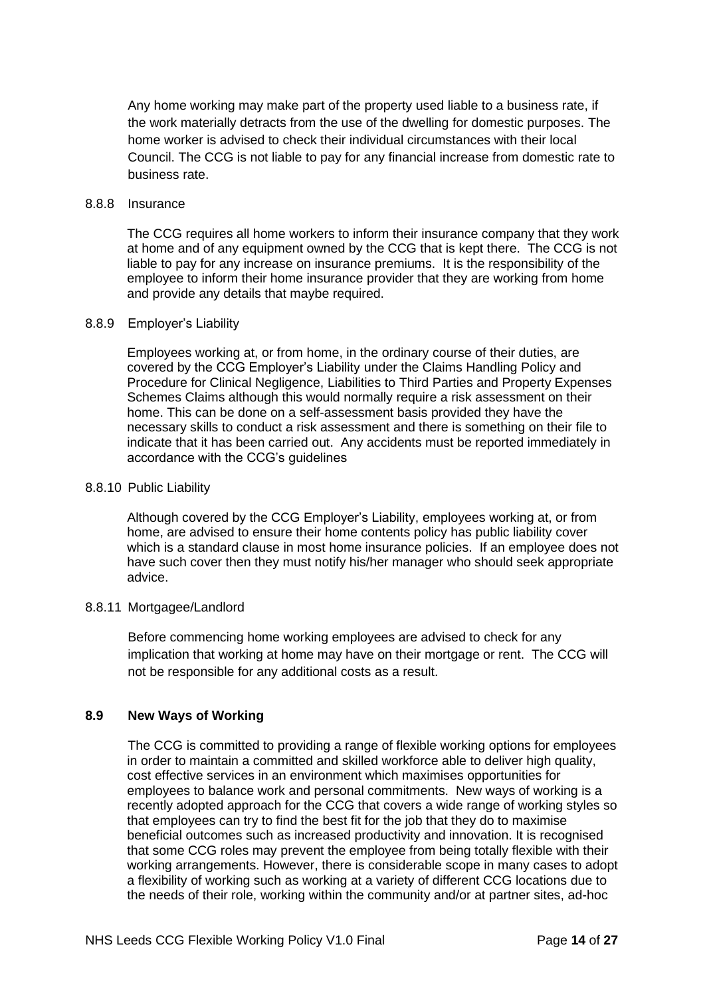Any home working may make part of the property used liable to a business rate, if the work materially detracts from the use of the dwelling for domestic purposes. The home worker is advised to check their individual circumstances with their local Council. The CCG is not liable to pay for any financial increase from domestic rate to business rate.

#### 8.8.8 Insurance

The CCG requires all home workers to inform their insurance company that they work at home and of any equipment owned by the CCG that is kept there. The CCG is not liable to pay for any increase on insurance premiums. It is the responsibility of the employee to inform their home insurance provider that they are working from home and provide any details that maybe required.

#### 8.8.9 Employer's Liability

Employees working at, or from home, in the ordinary course of their duties, are covered by the CCG Employer's Liability under the Claims Handling Policy and Procedure for Clinical Negligence, Liabilities to Third Parties and Property Expenses Schemes Claims although this would normally require a risk assessment on their home. This can be done on a self-assessment basis provided they have the necessary skills to conduct a risk assessment and there is something on their file to indicate that it has been carried out. Any accidents must be reported immediately in accordance with the CCG's guidelines

#### 8.8.10 Public Liability

Although covered by the CCG Employer's Liability, employees working at, or from home, are advised to ensure their home contents policy has public liability cover which is a standard clause in most home insurance policies. If an employee does not have such cover then they must notify his/her manager who should seek appropriate advice.

#### 8.8.11 Mortgagee/Landlord

Before commencing home working employees are advised to check for any implication that working at home may have on their mortgage or rent. The CCG will not be responsible for any additional costs as a result.

#### **8.9 New Ways of Working**

The CCG is committed to providing a range of flexible working options for employees in order to maintain a committed and skilled workforce able to deliver high quality, cost effective services in an environment which maximises opportunities for employees to balance work and personal commitments. New ways of working is a recently adopted approach for the CCG that covers a wide range of working styles so that employees can try to find the best fit for the job that they do to maximise beneficial outcomes such as increased productivity and innovation. It is recognised that some CCG roles may prevent the employee from being totally flexible with their working arrangements. However, there is considerable scope in many cases to adopt a flexibility of working such as working at a variety of different CCG locations due to the needs of their role, working within the community and/or at partner sites, ad-hoc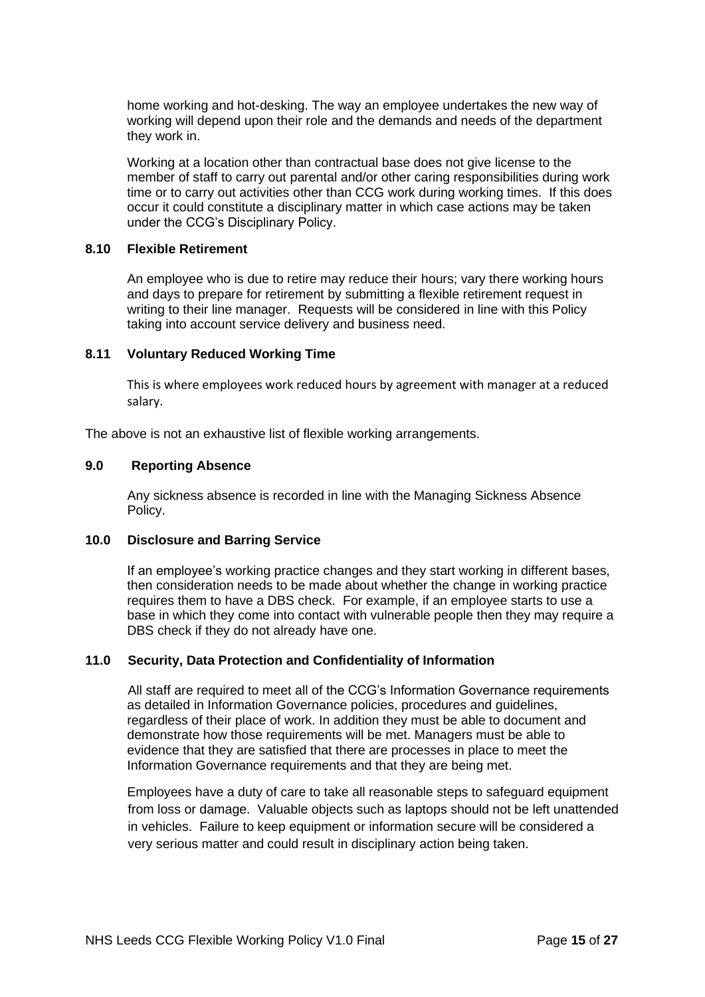home working and hot-desking. The way an employee undertakes the new way of working will depend upon their role and the demands and needs of the department they work in.

Working at a location other than contractual base does not give license to the member of staff to carry out parental and/or other caring responsibilities during work time or to carry out activities other than CCG work during working times. If this does occur it could constitute a disciplinary matter in which case actions may be taken under the CCG's Disciplinary Policy.

#### **8.10 Flexible Retirement**

An employee who is due to retire may reduce their hours; vary there working hours and days to prepare for retirement by submitting a flexible retirement request in writing to their line manager. Requests will be considered in line with this Policy taking into account service delivery and business need.

#### **8.11 Voluntary Reduced Working Time**

This is where employees work reduced hours by agreement with manager at a reduced salary.

The above is not an exhaustive list of flexible working arrangements.

#### **9.0 Reporting Absence**

Any sickness absence is recorded in line with the Managing Sickness Absence Policy.

## **10.0 Disclosure and Barring Service**

If an employee's working practice changes and they start working in different bases, then consideration needs to be made about whether the change in working practice requires them to have a DBS check. For example, if an employee starts to use a base in which they come into contact with vulnerable people then they may require a DBS check if they do not already have one.

#### **11.0 Security, Data Protection and Confidentiality of Information**

All staff are required to meet all of the CCG's Information Governance requirements as detailed in Information Governance policies, procedures and guidelines, regardless of their place of work. In addition they must be able to document and demonstrate how those requirements will be met. Managers must be able to evidence that they are satisfied that there are processes in place to meet the Information Governance requirements and that they are being met.

Employees have a duty of care to take all reasonable steps to safeguard equipment from loss or damage. Valuable objects such as laptops should not be left unattended in vehicles. Failure to keep equipment or information secure will be considered a very serious matter and could result in disciplinary action being taken.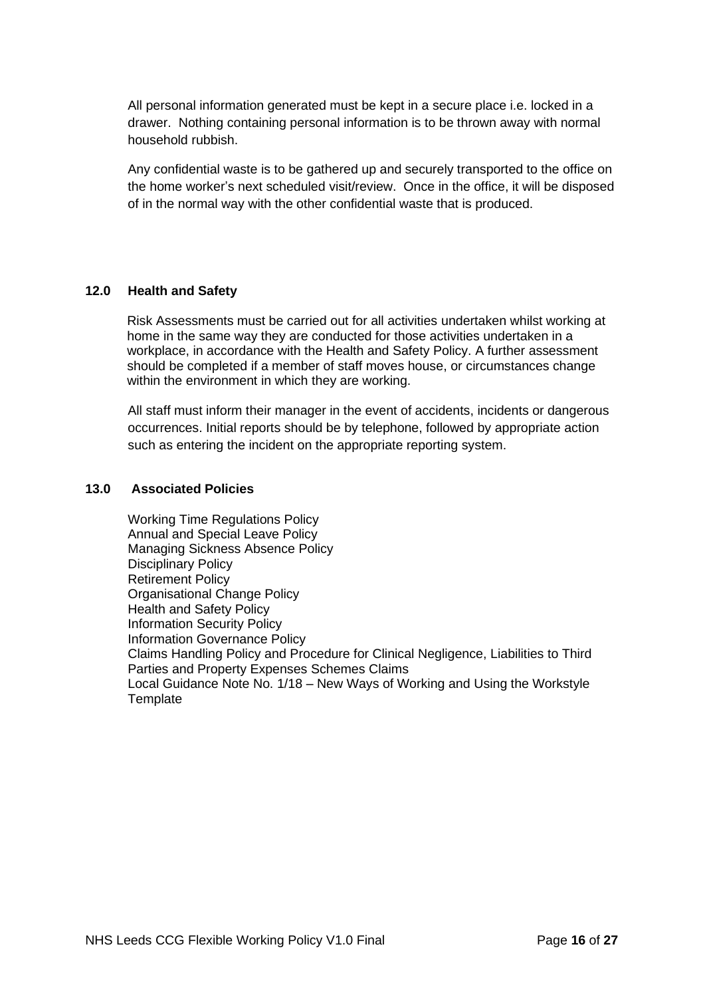All personal information generated must be kept in a secure place i.e. locked in a drawer. Nothing containing personal information is to be thrown away with normal household rubbish.

Any confidential waste is to be gathered up and securely transported to the office on the home worker's next scheduled visit/review. Once in the office, it will be disposed of in the normal way with the other confidential waste that is produced.

## **12.0 Health and Safety**

Risk Assessments must be carried out for all activities undertaken whilst working at home in the same way they are conducted for those activities undertaken in a workplace, in accordance with the Health and Safety Policy. A further assessment should be completed if a member of staff moves house, or circumstances change within the environment in which they are working.

All staff must inform their manager in the event of accidents, incidents or dangerous occurrences. Initial reports should be by telephone, followed by appropriate action such as entering the incident on the appropriate reporting system.

#### **13.0 Associated Policies**

Working Time Regulations Policy Annual and Special Leave Policy Managing Sickness Absence Policy Disciplinary Policy Retirement Policy Organisational Change Policy Health and Safety Policy Information Security Policy Information Governance Policy Claims Handling Policy and Procedure for Clinical Negligence, Liabilities to Third Parties and Property Expenses Schemes Claims Local Guidance Note No. 1/18 – New Ways of Working and Using the Workstyle **Template**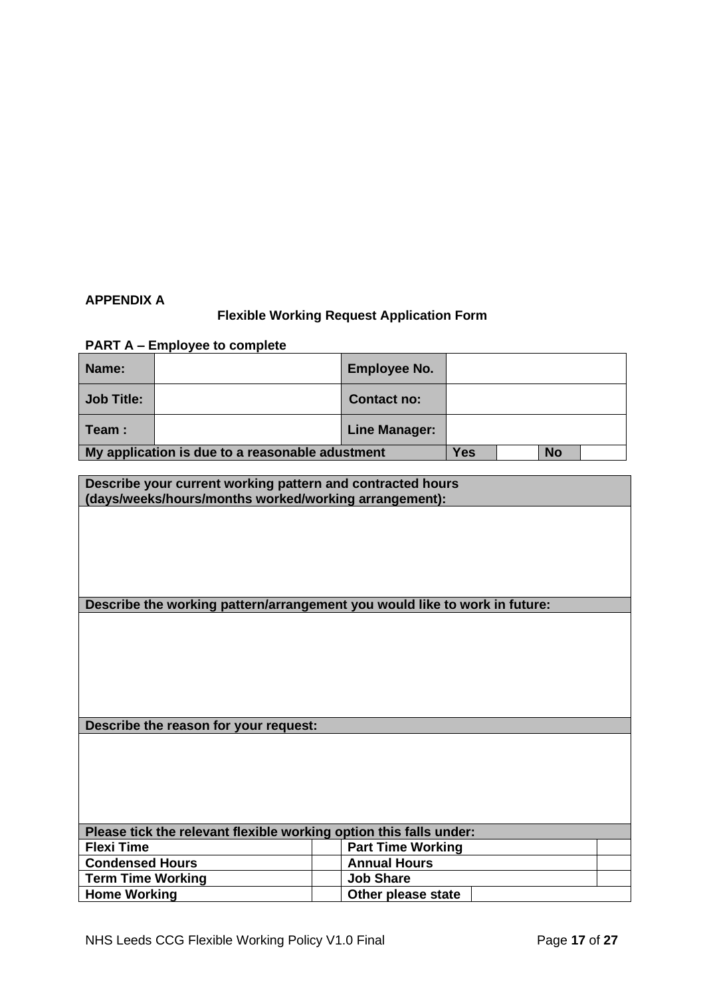## **APPENDIX A**

## **Flexible Working Request Application Form**

## **PART A – Employee to complete**

| Name:                                           |  | <b>Employee No.</b>  |     |           |  |
|-------------------------------------------------|--|----------------------|-----|-----------|--|
| <b>Job Title:</b>                               |  | Contact no:          |     |           |  |
| Team :                                          |  | <b>Line Manager:</b> |     |           |  |
| My application is due to a reasonable adustment |  |                      | Yes | <b>No</b> |  |

| Describe your current working pattern and contracted hours<br>(days/weeks/hours/months worked/working arrangement): |                                                                            |  |  |  |
|---------------------------------------------------------------------------------------------------------------------|----------------------------------------------------------------------------|--|--|--|
|                                                                                                                     |                                                                            |  |  |  |
|                                                                                                                     |                                                                            |  |  |  |
|                                                                                                                     |                                                                            |  |  |  |
|                                                                                                                     |                                                                            |  |  |  |
|                                                                                                                     | Describe the working pattern/arrangement you would like to work in future: |  |  |  |
|                                                                                                                     |                                                                            |  |  |  |
|                                                                                                                     |                                                                            |  |  |  |
|                                                                                                                     |                                                                            |  |  |  |
|                                                                                                                     |                                                                            |  |  |  |
|                                                                                                                     |                                                                            |  |  |  |
| Describe the reason for your request:                                                                               |                                                                            |  |  |  |
|                                                                                                                     |                                                                            |  |  |  |
|                                                                                                                     |                                                                            |  |  |  |
|                                                                                                                     |                                                                            |  |  |  |
|                                                                                                                     |                                                                            |  |  |  |
| Please tick the relevant flexible working option this falls under:                                                  |                                                                            |  |  |  |
| <b>Flexi Time</b>                                                                                                   | <b>Part Time Working</b>                                                   |  |  |  |
| <b>Condensed Hours</b>                                                                                              | <b>Annual Hours</b>                                                        |  |  |  |
| <b>Term Time Working</b>                                                                                            | <b>Job Share</b>                                                           |  |  |  |
| <b>Home Working</b>                                                                                                 | Other please state                                                         |  |  |  |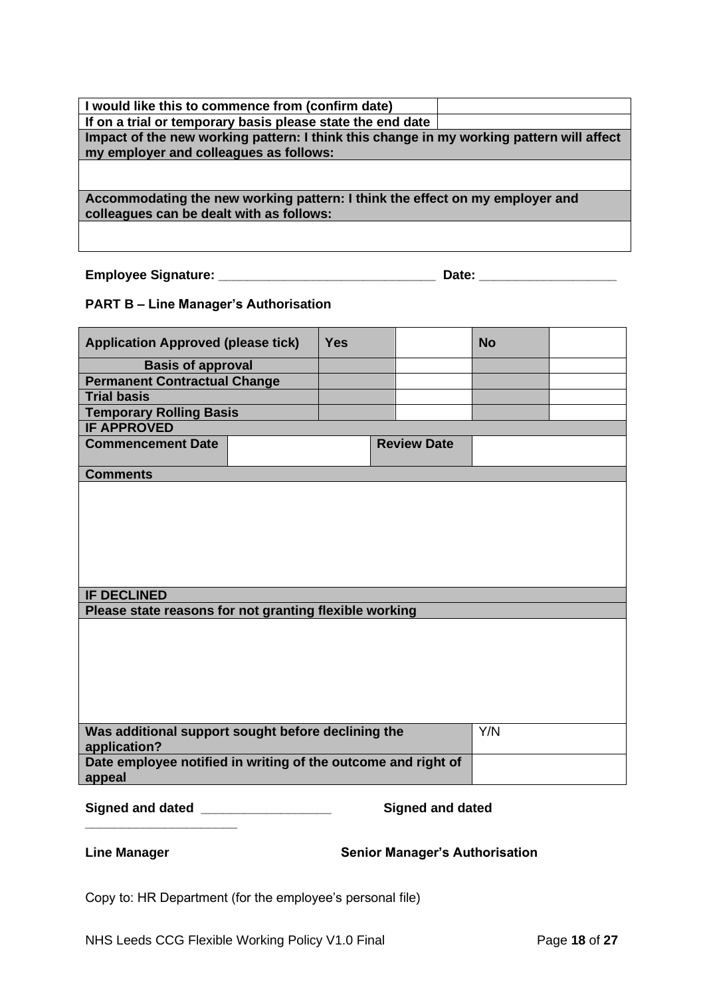| I would like this to commence from (confirm date)                                        |
|------------------------------------------------------------------------------------------|
| If on a trial or temporary basis please state the end date                               |
| Impact of the new working pattern: I think this change in my working pattern will affect |
| my employer and colleagues as follows:                                                   |
|                                                                                          |
| Accommodating the new working pattern: I think the effect on my employer and             |
| colleagues can be dealt with as follows:                                                 |
|                                                                                          |
|                                                                                          |

**Employee Signature: \_\_\_\_\_\_\_\_\_\_\_\_\_\_\_\_\_\_\_\_\_\_\_\_\_\_\_\_\_\_ Date: \_\_\_\_\_\_\_\_\_\_\_\_\_\_\_\_\_\_\_**

## **PART B – Line Manager's Authorisation**

| <b>Application Approved (please tick)</b>                               |  | <b>Yes</b> |                                       | <b>No</b> |  |
|-------------------------------------------------------------------------|--|------------|---------------------------------------|-----------|--|
| <b>Basis of approval</b>                                                |  |            |                                       |           |  |
| <b>Permanent Contractual Change</b>                                     |  |            |                                       |           |  |
| <b>Trial basis</b>                                                      |  |            |                                       |           |  |
| <b>Temporary Rolling Basis</b>                                          |  |            |                                       |           |  |
| <b>IF APPROVED</b>                                                      |  |            |                                       |           |  |
| <b>Commencement Date</b>                                                |  |            | <b>Review Date</b>                    |           |  |
| <b>Comments</b>                                                         |  |            |                                       |           |  |
| <b>IF DECLINED</b>                                                      |  |            |                                       |           |  |
| Please state reasons for not granting flexible working                  |  |            |                                       |           |  |
|                                                                         |  |            |                                       |           |  |
| Was additional support sought before declining the<br>application?      |  |            |                                       | Y/N       |  |
| Date employee notified in writing of the outcome and right of<br>appeal |  |            |                                       |           |  |
| Signed and dated ___________________                                    |  |            | <b>Signed and dated</b>               |           |  |
| <b>Line Manager</b>                                                     |  |            | <b>Senior Manager's Authorisation</b> |           |  |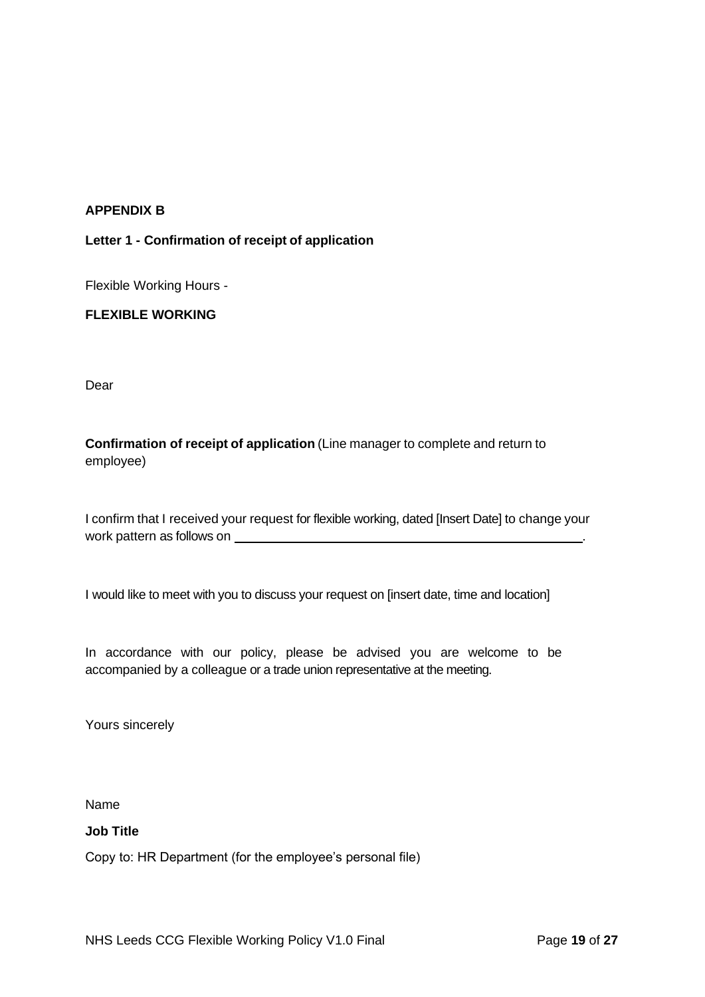## **APPENDIX B**

## **Letter 1 - Confirmation of receipt of application**

Flexible Working Hours -

## **FLEXIBLE WORKING**

Dear

**Confirmation of receipt of application** (Line manager to complete and return to employee)

I confirm that I received your request for flexible working, dated [Insert Date] to change your work pattern as follows on **with all and the control of the state of the control of the control of the control of the control of the control of the control of the control of the control of the control of the control of the** 

I would like to meet with you to discuss your request on [insert date, time and location]

In accordance with our policy, please be advised you are welcome to be accompanied by a colleague or a trade union representative at the meeting.

Yours sincerely

Name

#### **Job Title**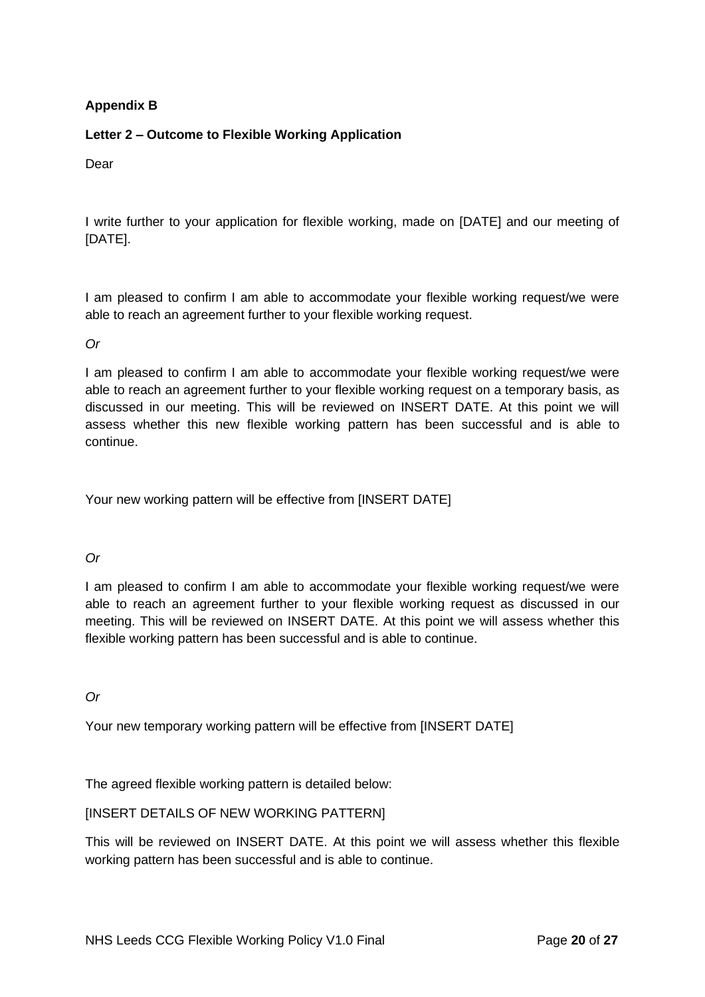## **Appendix B**

## **Letter 2 – Outcome to Flexible Working Application**

Dear

I write further to your application for flexible working, made on [DATE] and our meeting of [DATE].

I am pleased to confirm I am able to accommodate your flexible working request/we were able to reach an agreement further to your flexible working request.

*Or*

I am pleased to confirm I am able to accommodate your flexible working request/we were able to reach an agreement further to your flexible working request on a temporary basis, as discussed in our meeting. This will be reviewed on INSERT DATE. At this point we will assess whether this new flexible working pattern has been successful and is able to continue.

Your new working pattern will be effective from [INSERT DATE]

*Or*

I am pleased to confirm I am able to accommodate your flexible working request/we were able to reach an agreement further to your flexible working request as discussed in our meeting. This will be reviewed on INSERT DATE. At this point we will assess whether this flexible working pattern has been successful and is able to continue.

*Or*

Your new temporary working pattern will be effective from [INSERT DATE]

The agreed flexible working pattern is detailed below:

## [INSERT DETAILS OF NEW WORKING PATTERN]

This will be reviewed on INSERT DATE. At this point we will assess whether this flexible working pattern has been successful and is able to continue.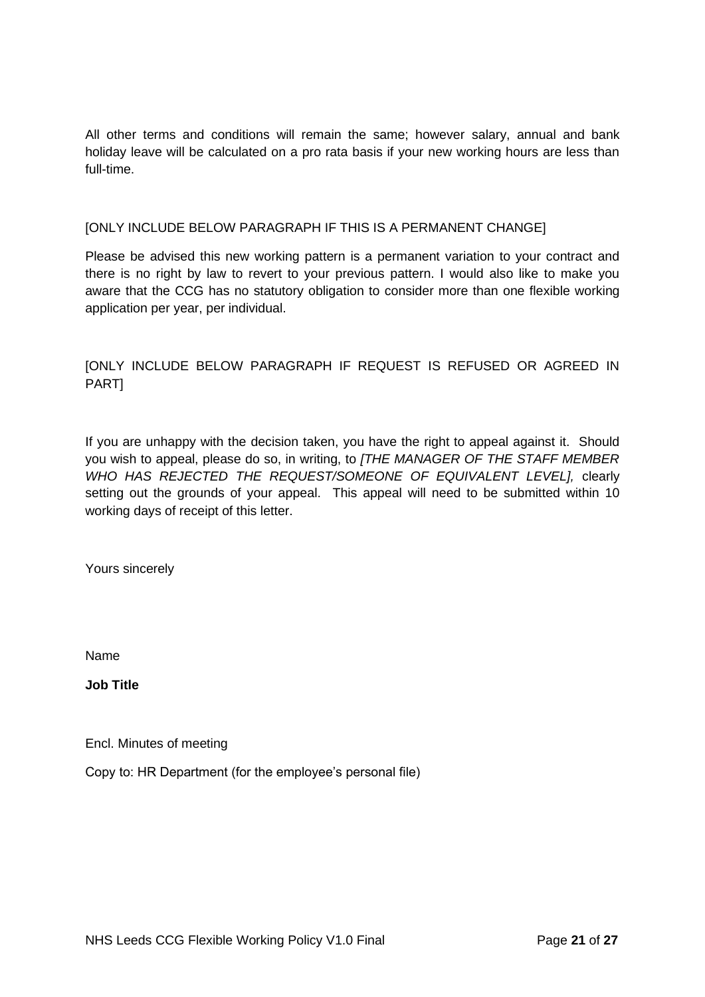All other terms and conditions will remain the same; however salary, annual and bank holiday leave will be calculated on a pro rata basis if your new working hours are less than full-time.

#### [ONLY INCLUDE BELOW PARAGRAPH IF THIS IS A PERMANENT CHANGE]

Please be advised this new working pattern is a permanent variation to your contract and there is no right by law to revert to your previous pattern. I would also like to make you aware that the CCG has no statutory obligation to consider more than one flexible working application per year, per individual.

## [ONLY INCLUDE BELOW PARAGRAPH IF REQUEST IS REFUSED OR AGREED IN PART]

If you are unhappy with the decision taken, you have the right to appeal against it. Should you wish to appeal, please do so, in writing, to *[THE MANAGER OF THE STAFF MEMBER WHO HAS REJECTED THE REQUEST/SOMEONE OF EQUIVALENT LEVEL],* clearly setting out the grounds of your appeal. This appeal will need to be submitted within 10 working days of receipt of this letter.

Yours sincerely

Name

**Job Title**

Encl. Minutes of meeting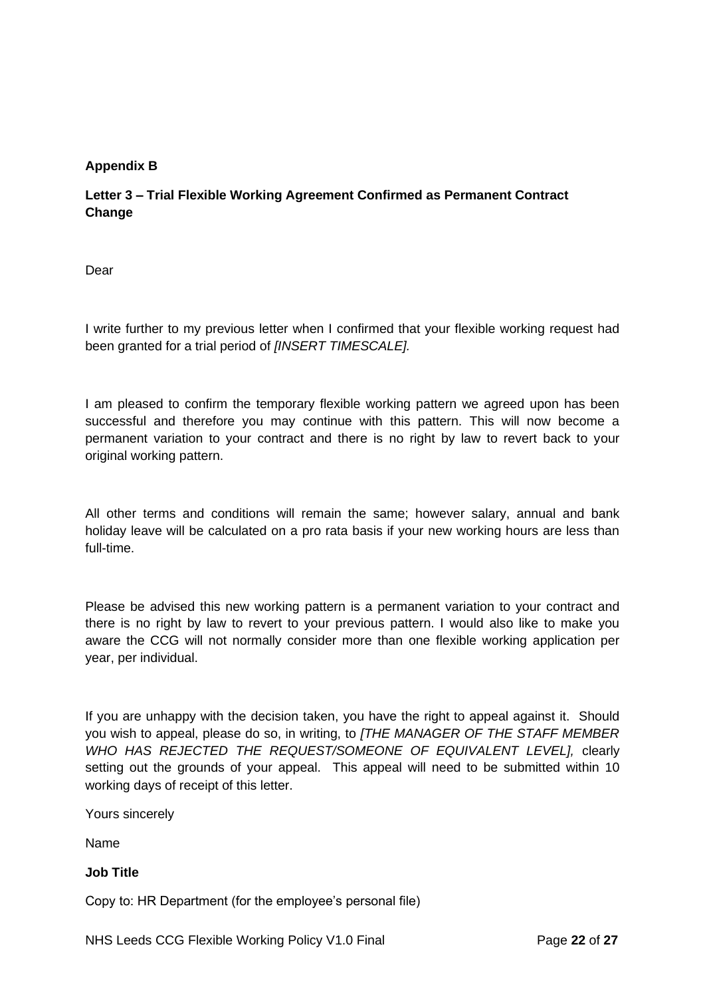## **Appendix B**

## **Letter 3 – Trial Flexible Working Agreement Confirmed as Permanent Contract Change**

Dear

I write further to my previous letter when I confirmed that your flexible working request had been granted for a trial period of *[INSERT TIMESCALE].*

I am pleased to confirm the temporary flexible working pattern we agreed upon has been successful and therefore you may continue with this pattern. This will now become a permanent variation to your contract and there is no right by law to revert back to your original working pattern.

All other terms and conditions will remain the same; however salary, annual and bank holiday leave will be calculated on a pro rata basis if your new working hours are less than full-time.

Please be advised this new working pattern is a permanent variation to your contract and there is no right by law to revert to your previous pattern. I would also like to make you aware the CCG will not normally consider more than one flexible working application per year, per individual.

If you are unhappy with the decision taken, you have the right to appeal against it. Should you wish to appeal, please do so, in writing, to *[THE MANAGER OF THE STAFF MEMBER WHO HAS REJECTED THE REQUEST/SOMEONE OF EQUIVALENT LEVEL],* clearly setting out the grounds of your appeal. This appeal will need to be submitted within 10 working days of receipt of this letter.

Yours sincerely

Name

## **Job Title**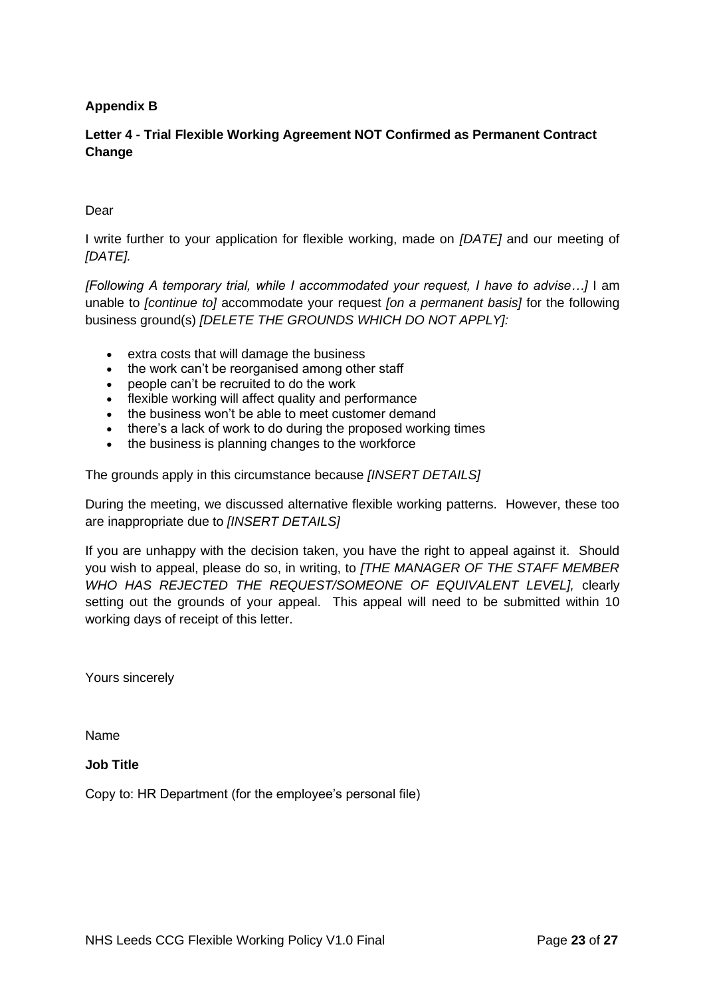## **Appendix B**

## **Letter 4 - Trial Flexible Working Agreement NOT Confirmed as Permanent Contract Change**

#### Dear

I write further to your application for flexible working, made on *[DATE]* and our meeting of *[DATE].*

*[Following A temporary trial, while I accommodated your request, I have to advise…]* I am unable to *[continue to]* accommodate your request *[on a permanent basis]* for the following business ground(s) *[DELETE THE GROUNDS WHICH DO NOT APPLY]:*

- extra costs that will damage the business
- the work can't be reorganised among other staff
- people can't be recruited to do the work
- flexible working will affect quality and performance
- the business won't be able to meet customer demand
- there's a lack of work to do during the proposed working times
- the business is planning changes to the workforce

The grounds apply in this circumstance because *[INSERT DETAILS]*

During the meeting, we discussed alternative flexible working patterns. However, these too are inappropriate due to *[INSERT DETAILS]*

If you are unhappy with the decision taken, you have the right to appeal against it. Should you wish to appeal, please do so, in writing, to *[THE MANAGER OF THE STAFF MEMBER WHO HAS REJECTED THE REQUEST/SOMEONE OF EQUIVALENT LEVEL],* clearly setting out the grounds of your appeal. This appeal will need to be submitted within 10 working days of receipt of this letter.

Yours sincerely

Name

#### **Job Title**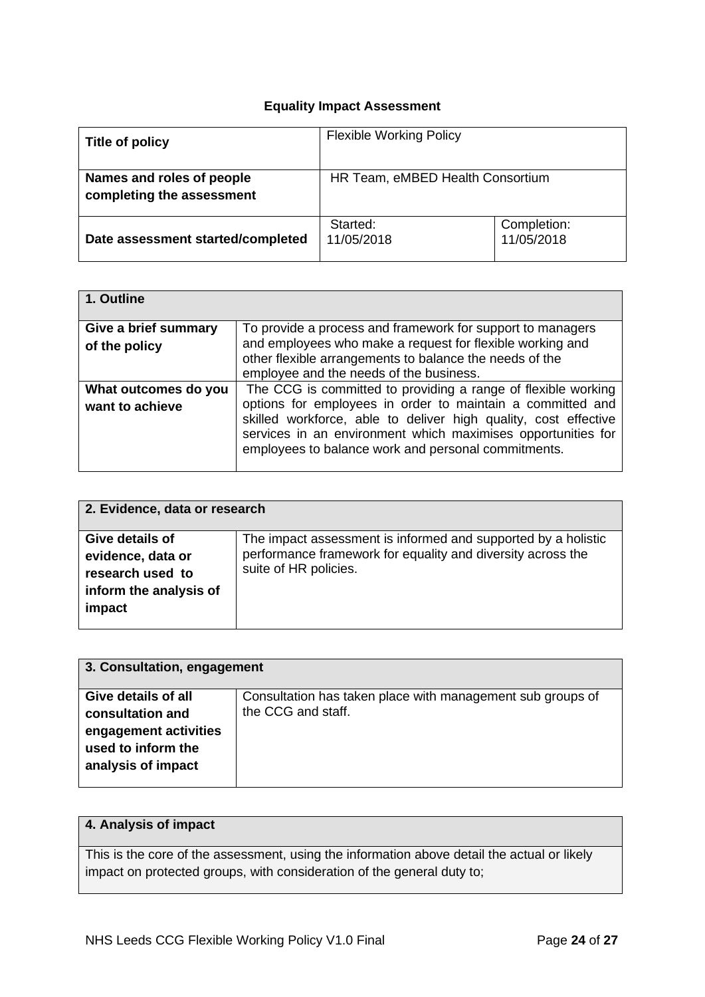## **Equality Impact Assessment**

| Title of policy                                        | <b>Flexible Working Policy</b>   |                           |  |
|--------------------------------------------------------|----------------------------------|---------------------------|--|
| Names and roles of people<br>completing the assessment | HR Team, eMBED Health Consortium |                           |  |
| Date assessment started/completed                      | Started:<br>11/05/2018           | Completion:<br>11/05/2018 |  |

| 1. Outline           |                                                                 |
|----------------------|-----------------------------------------------------------------|
| Give a brief summary | To provide a process and framework for support to managers      |
| of the policy        | and employees who make a request for flexible working and       |
|                      | other flexible arrangements to balance the needs of the         |
|                      | employee and the needs of the business.                         |
| What outcomes do you | The CCG is committed to providing a range of flexible working   |
| want to achieve      | options for employees in order to maintain a committed and      |
|                      | skilled workforce, able to deliver high quality, cost effective |
|                      | services in an environment which maximises opportunities for    |
|                      | employees to balance work and personal commitments.             |
|                      |                                                                 |

| 2. Evidence, data or research                                                                |                                                                                                                                                       |  |  |
|----------------------------------------------------------------------------------------------|-------------------------------------------------------------------------------------------------------------------------------------------------------|--|--|
| Give details of<br>evidence, data or<br>research used to<br>inform the analysis of<br>impact | The impact assessment is informed and supported by a holistic<br>performance framework for equality and diversity across the<br>suite of HR policies. |  |  |

| 3. Consultation, engagement |                                                            |  |  |  |
|-----------------------------|------------------------------------------------------------|--|--|--|
| <b>Give details of all</b>  | Consultation has taken place with management sub groups of |  |  |  |
| consultation and            | the CCG and staff.                                         |  |  |  |
| engagement activities       |                                                            |  |  |  |
| used to inform the          |                                                            |  |  |  |
| analysis of impact          |                                                            |  |  |  |
|                             |                                                            |  |  |  |

## **4. Analysis of impact**

This is the core of the assessment, using the information above detail the actual or likely impact on protected groups, with consideration of the general duty to;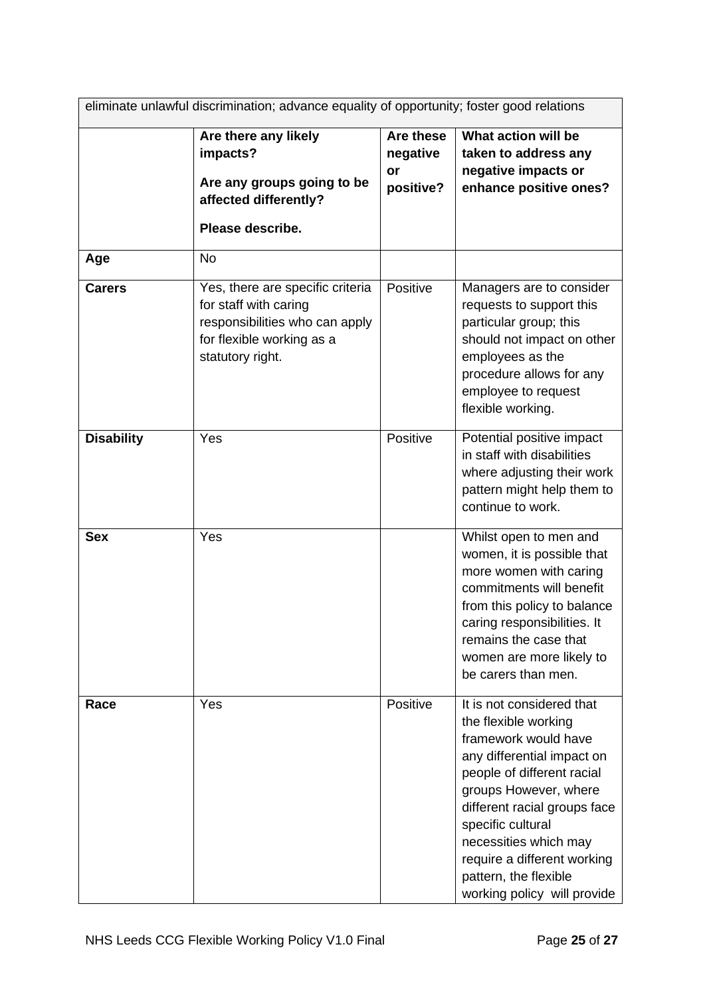| eliminate unlawful discrimination; advance equality of opportunity; foster good relations |                                                                                                                                              |                                                 |                                                                                                                                                                                                                                                                                                                                     |  |  |
|-------------------------------------------------------------------------------------------|----------------------------------------------------------------------------------------------------------------------------------------------|-------------------------------------------------|-------------------------------------------------------------------------------------------------------------------------------------------------------------------------------------------------------------------------------------------------------------------------------------------------------------------------------------|--|--|
|                                                                                           | Are there any likely<br>impacts?<br>Are any groups going to be<br>affected differently?<br>Please describe.                                  | Are these<br>negative<br><b>or</b><br>positive? | What action will be<br>taken to address any<br>negative impacts or<br>enhance positive ones?                                                                                                                                                                                                                                        |  |  |
| Age                                                                                       | <b>No</b>                                                                                                                                    |                                                 |                                                                                                                                                                                                                                                                                                                                     |  |  |
| <b>Carers</b>                                                                             | Yes, there are specific criteria<br>for staff with caring<br>responsibilities who can apply<br>for flexible working as a<br>statutory right. | Positive                                        | Managers are to consider<br>requests to support this<br>particular group; this<br>should not impact on other<br>employees as the<br>procedure allows for any<br>employee to request<br>flexible working.                                                                                                                            |  |  |
| <b>Disability</b>                                                                         | Yes                                                                                                                                          | Positive                                        | Potential positive impact<br>in staff with disabilities<br>where adjusting their work<br>pattern might help them to<br>continue to work.                                                                                                                                                                                            |  |  |
| <b>Sex</b>                                                                                | Yes                                                                                                                                          |                                                 | Whilst open to men and<br>women, it is possible that<br>more women with caring<br>commitments will benefit<br>from this policy to balance<br>caring responsibilities. It<br>remains the case that<br>women are more likely to<br>be carers than men.                                                                                |  |  |
| Race                                                                                      | Yes                                                                                                                                          | Positive                                        | It is not considered that<br>the flexible working<br>framework would have<br>any differential impact on<br>people of different racial<br>groups However, where<br>different racial groups face<br>specific cultural<br>necessities which may<br>require a different working<br>pattern, the flexible<br>working policy will provide |  |  |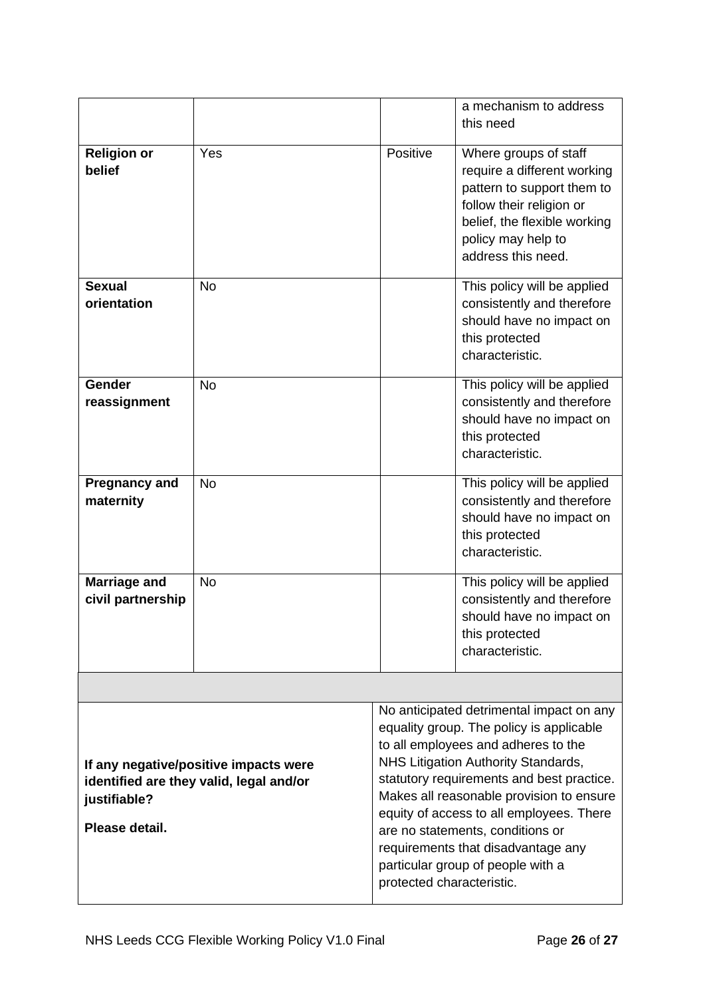|                                                                                                                    |           |                                                                                                                                                                                                                                                                                                                                                                                                                                                     | a mechanism to address<br>this need                                                                                                                                                        |  |  |  |
|--------------------------------------------------------------------------------------------------------------------|-----------|-----------------------------------------------------------------------------------------------------------------------------------------------------------------------------------------------------------------------------------------------------------------------------------------------------------------------------------------------------------------------------------------------------------------------------------------------------|--------------------------------------------------------------------------------------------------------------------------------------------------------------------------------------------|--|--|--|
| <b>Religion or</b><br>belief                                                                                       | Yes       | Positive                                                                                                                                                                                                                                                                                                                                                                                                                                            | Where groups of staff<br>require a different working<br>pattern to support them to<br>follow their religion or<br>belief, the flexible working<br>policy may help to<br>address this need. |  |  |  |
| <b>Sexual</b><br>orientation                                                                                       | <b>No</b> |                                                                                                                                                                                                                                                                                                                                                                                                                                                     | This policy will be applied<br>consistently and therefore<br>should have no impact on<br>this protected<br>characteristic.                                                                 |  |  |  |
| Gender<br>reassignment                                                                                             | <b>No</b> |                                                                                                                                                                                                                                                                                                                                                                                                                                                     | This policy will be applied<br>consistently and therefore<br>should have no impact on<br>this protected<br>characteristic.                                                                 |  |  |  |
| <b>Pregnancy and</b><br>maternity                                                                                  | <b>No</b> |                                                                                                                                                                                                                                                                                                                                                                                                                                                     | This policy will be applied<br>consistently and therefore<br>should have no impact on<br>this protected<br>characteristic.                                                                 |  |  |  |
| <b>Marriage and</b><br>civil partnership                                                                           | <b>No</b> |                                                                                                                                                                                                                                                                                                                                                                                                                                                     | This policy will be applied<br>consistently and therefore<br>should have no impact on<br>this protected<br>characteristic.                                                                 |  |  |  |
|                                                                                                                    |           |                                                                                                                                                                                                                                                                                                                                                                                                                                                     |                                                                                                                                                                                            |  |  |  |
| If any negative/positive impacts were<br>identified are they valid, legal and/or<br>justifiable?<br>Please detail. |           | No anticipated detrimental impact on any<br>equality group. The policy is applicable<br>to all employees and adheres to the<br>NHS Litigation Authority Standards,<br>statutory requirements and best practice.<br>Makes all reasonable provision to ensure<br>equity of access to all employees. There<br>are no statements, conditions or<br>requirements that disadvantage any<br>particular group of people with a<br>protected characteristic. |                                                                                                                                                                                            |  |  |  |